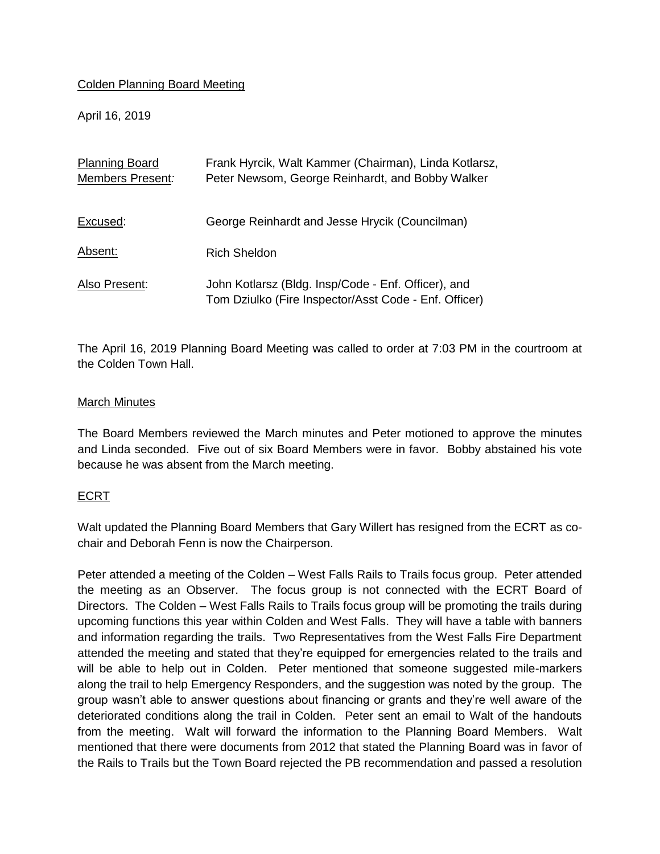## Colden Planning Board Meeting

April 16, 2019

| <b>Planning Board</b><br>Members Present: | Frank Hyrcik, Walt Kammer (Chairman), Linda Kotlarsz,<br>Peter Newsom, George Reinhardt, and Bobby Walker    |
|-------------------------------------------|--------------------------------------------------------------------------------------------------------------|
|                                           |                                                                                                              |
| Excused:                                  | George Reinhardt and Jesse Hrycik (Councilman)                                                               |
| Absent:                                   | Rich Sheldon                                                                                                 |
| Also Present:                             | John Kotlarsz (Bldg. Insp/Code - Enf. Officer), and<br>Tom Dziulko (Fire Inspector/Asst Code - Enf. Officer) |

The April 16, 2019 Planning Board Meeting was called to order at 7:03 PM in the courtroom at the Colden Town Hall.

## March Minutes

The Board Members reviewed the March minutes and Peter motioned to approve the minutes and Linda seconded. Five out of six Board Members were in favor. Bobby abstained his vote because he was absent from the March meeting.

## ECRT

Walt updated the Planning Board Members that Gary Willert has resigned from the ECRT as cochair and Deborah Fenn is now the Chairperson.

Peter attended a meeting of the Colden – West Falls Rails to Trails focus group. Peter attended the meeting as an Observer. The focus group is not connected with the ECRT Board of Directors. The Colden – West Falls Rails to Trails focus group will be promoting the trails during upcoming functions this year within Colden and West Falls. They will have a table with banners and information regarding the trails. Two Representatives from the West Falls Fire Department attended the meeting and stated that they're equipped for emergencies related to the trails and will be able to help out in Colden. Peter mentioned that someone suggested mile-markers along the trail to help Emergency Responders, and the suggestion was noted by the group. The group wasn't able to answer questions about financing or grants and they're well aware of the deteriorated conditions along the trail in Colden. Peter sent an email to Walt of the handouts from the meeting. Walt will forward the information to the Planning Board Members. Walt mentioned that there were documents from 2012 that stated the Planning Board was in favor of the Rails to Trails but the Town Board rejected the PB recommendation and passed a resolution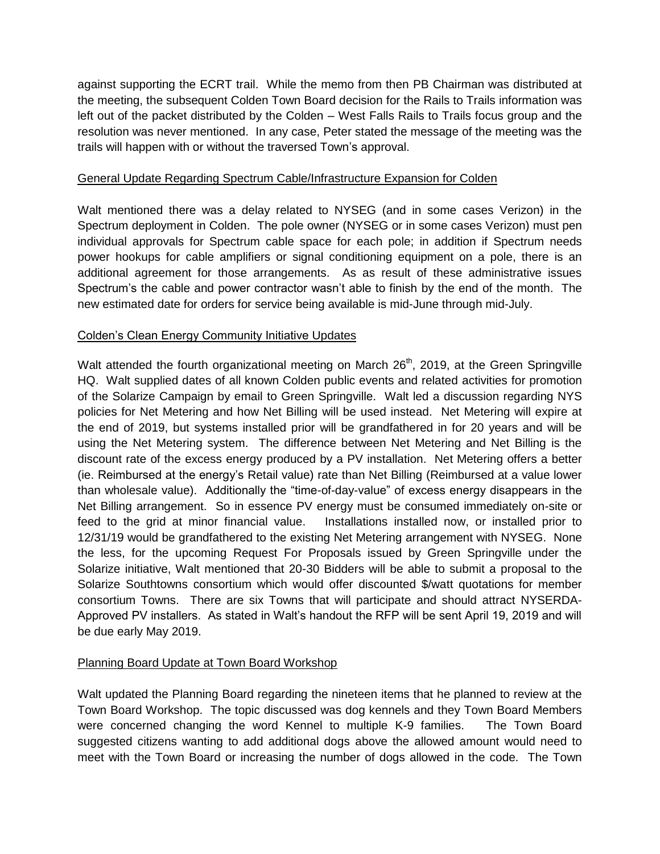against supporting the ECRT trail. While the memo from then PB Chairman was distributed at the meeting, the subsequent Colden Town Board decision for the Rails to Trails information was left out of the packet distributed by the Colden – West Falls Rails to Trails focus group and the resolution was never mentioned. In any case, Peter stated the message of the meeting was the trails will happen with or without the traversed Town's approval.

## General Update Regarding Spectrum Cable/Infrastructure Expansion for Colden

Walt mentioned there was a delay related to NYSEG (and in some cases Verizon) in the Spectrum deployment in Colden. The pole owner (NYSEG or in some cases Verizon) must pen individual approvals for Spectrum cable space for each pole; in addition if Spectrum needs power hookups for cable amplifiers or signal conditioning equipment on a pole, there is an additional agreement for those arrangements. As as result of these administrative issues Spectrum's the cable and power contractor wasn't able to finish by the end of the month. The new estimated date for orders for service being available is mid-June through mid-July.

## Colden's Clean Energy Community Initiative Updates

Walt attended the fourth organizational meeting on March 26<sup>th</sup>, 2019, at the Green Springville HQ. Walt supplied dates of all known Colden public events and related activities for promotion of the Solarize Campaign by email to Green Springville. Walt led a discussion regarding NYS policies for Net Metering and how Net Billing will be used instead. Net Metering will expire at the end of 2019, but systems installed prior will be grandfathered in for 20 years and will be using the Net Metering system. The difference between Net Metering and Net Billing is the discount rate of the excess energy produced by a PV installation. Net Metering offers a better (ie. Reimbursed at the energy's Retail value) rate than Net Billing (Reimbursed at a value lower than wholesale value). Additionally the "time-of-day-value" of excess energy disappears in the Net Billing arrangement. So in essence PV energy must be consumed immediately on-site or feed to the grid at minor financial value. Installations installed now, or installed prior to 12/31/19 would be grandfathered to the existing Net Metering arrangement with NYSEG. None the less, for the upcoming Request For Proposals issued by Green Springville under the Solarize initiative, Walt mentioned that 20-30 Bidders will be able to submit a proposal to the Solarize Southtowns consortium which would offer discounted \$/watt quotations for member consortium Towns. There are six Towns that will participate and should attract NYSERDA-Approved PV installers. As stated in Walt's handout the RFP will be sent April 19, 2019 and will be due early May 2019.

# Planning Board Update at Town Board Workshop

Walt updated the Planning Board regarding the nineteen items that he planned to review at the Town Board Workshop. The topic discussed was dog kennels and they Town Board Members were concerned changing the word Kennel to multiple K-9 families. The Town Board suggested citizens wanting to add additional dogs above the allowed amount would need to meet with the Town Board or increasing the number of dogs allowed in the code. The Town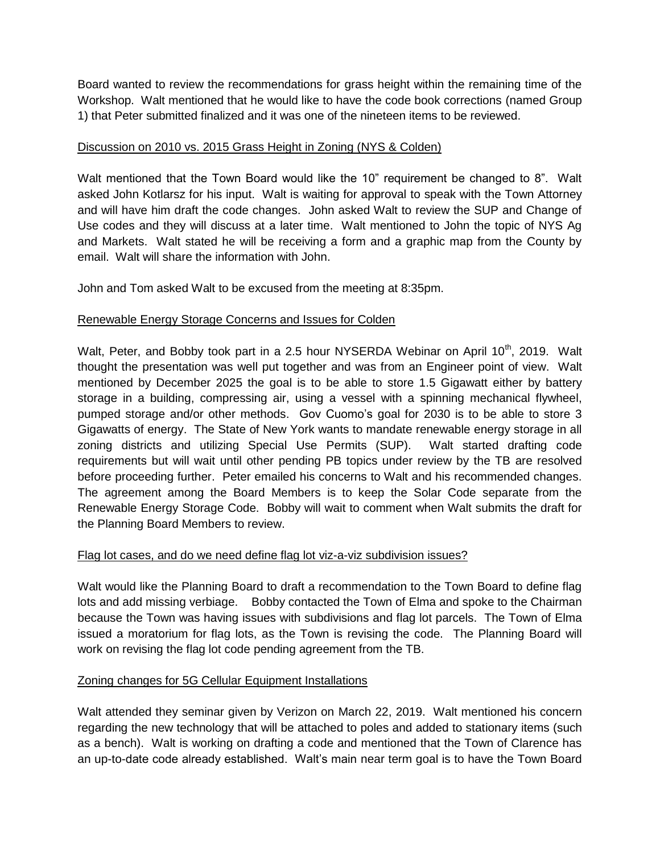Board wanted to review the recommendations for grass height within the remaining time of the Workshop. Walt mentioned that he would like to have the code book corrections (named Group 1) that Peter submitted finalized and it was one of the nineteen items to be reviewed.

## Discussion on 2010 vs. 2015 Grass Height in Zoning (NYS & Colden)

Walt mentioned that the Town Board would like the 10" requirement be changed to 8". Walt asked John Kotlarsz for his input. Walt is waiting for approval to speak with the Town Attorney and will have him draft the code changes. John asked Walt to review the SUP and Change of Use codes and they will discuss at a later time. Walt mentioned to John the topic of NYS Ag and Markets. Walt stated he will be receiving a form and a graphic map from the County by email. Walt will share the information with John.

John and Tom asked Walt to be excused from the meeting at 8:35pm.

## Renewable Energy Storage Concerns and Issues for Colden

Walt, Peter, and Bobby took part in a 2.5 hour NYSERDA Webinar on April 10<sup>th</sup>, 2019. Walt thought the presentation was well put together and was from an Engineer point of view. Walt mentioned by December 2025 the goal is to be able to store 1.5 Gigawatt either by battery storage in a building, compressing air, using a vessel with a spinning mechanical flywheel, pumped storage and/or other methods. Gov Cuomo's goal for 2030 is to be able to store 3 Gigawatts of energy. The State of New York wants to mandate renewable energy storage in all zoning districts and utilizing Special Use Permits (SUP). Walt started drafting code requirements but will wait until other pending PB topics under review by the TB are resolved before proceeding further. Peter emailed his concerns to Walt and his recommended changes. The agreement among the Board Members is to keep the Solar Code separate from the Renewable Energy Storage Code. Bobby will wait to comment when Walt submits the draft for the Planning Board Members to review.

## Flag lot cases, and do we need define flag lot viz-a-viz subdivision issues?

Walt would like the Planning Board to draft a recommendation to the Town Board to define flag lots and add missing verbiage. Bobby contacted the Town of Elma and spoke to the Chairman because the Town was having issues with subdivisions and flag lot parcels. The Town of Elma issued a moratorium for flag lots, as the Town is revising the code. The Planning Board will work on revising the flag lot code pending agreement from the TB.

## Zoning changes for 5G Cellular Equipment Installations

Walt attended they seminar given by Verizon on March 22, 2019. Walt mentioned his concern regarding the new technology that will be attached to poles and added to stationary items (such as a bench). Walt is working on drafting a code and mentioned that the Town of Clarence has an up-to-date code already established. Walt's main near term goal is to have the Town Board